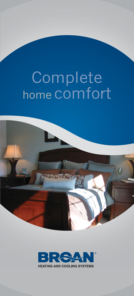# Complete home comfort



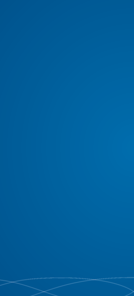X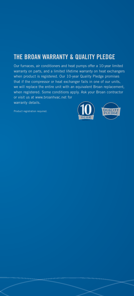### **THE BROAN WARRANTY & QUALITY PLEDGE**

Our furnaces, air conditioners and heat pumps offer a 10-year limited warranty on parts, and a limited lifetime warranty on heat exchangers when product is registered. Our 10-year Quality Pledge promises that if the compressor or heat exchanger fails in one of our units, we will replace the entire unit with an equivalent Broan replacement, when registered. Some conditions apply. Ask your Broan contractor or visit us at www.broanhvac.net for

warranty details.

Product registration required.



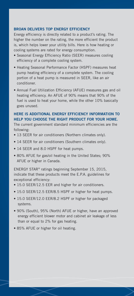#### **BROAN DELIVERS TOP ENERGY EFFICIENCY**

Energy efficiency is directly related to a product's rating. The higher the number on the rating, the more efficient the product is, which helps lower your utility bills. Here is how heating or cooling systems are rated for energy consumption.

- Seasonal Energy Efficiency Ratio (SEER) measures cooling efficiency of a complete cooling system.
- Heating Seasonal Performance Factor (HSPF) measures heat pump heating efficiency of a complete system. The cooling portion of a heat pump is measured in SEER, like an air conditioner.
- Annual Fuel Utilization Efficiency (AFUE) measures gas and oil heating efficiency. An AFUE of 90% means that 90% of the fuel is used to heat your home, while the other 10% basically goes unused.

#### **HERE IS ADDITIONAL ENERGY EFFICIENCY INFORMATION TO HELP YOU CHOOSE THE RIGHT PRODUCT FOR YOUR HOME.**

The current government standard minimum efficiencies are the following:

- 13 SEER for air conditioners (Northern climates only).
- 14 SEER for air conditioners (Southern climates only).
- 14 SEER and 8.0 HSPF for heat pumps.
- 80% AFUE for gas/oil heating in the United States; 90% AFUE or higher in Canada.

ENERGY STAR‰ ratings beginning September 15, 2015, indicate that these products meet the E.P.A. guidelines for exceptional efficiency:

- 15.0 SEER/12.5 EER and higher for air conditioners.
- 15.0 SEER/12.5 EER/8.5 HSPF or higher for heat pumps.
- 15.0 SEER/12.0 EER/8.2 HSPF or higher for packaged systems.
- 90% (South), 95% (North) AFUE or higher, have an approved energy efficient blower motor and cabinet air leakage of less than or equal to 2% for gas heating.
- 85% AFUE or higher for oil heating.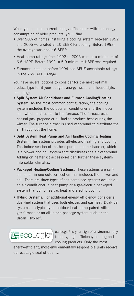When you compare current energy efficiencies with the energy consumption of older products, you'll find:

- Over 90% of homes installing a cooling system between 1992 and 2005 were rated at 10 SEER for cooling. Before 1992, the average was about 6 SEER.
- Heat pump ratings from 1992 to 2005 were at a minimum of 6.8 HSPF. Before 1992, a 5.0 minimum HSPF was required.
- Furnaces installed before 1994 had AFUE acceptable ratings in the 75% AFUE range.

You have several options to consider for the most optimal product type to fit your budget, energy needs and house style, including:

- **Split System Air Conditioner and Furnace Cooling/Heating System.** As the most common configuration, the cooling system includes the outdoor air conditioner and the indoor coil, which is attached to the furnace. The furnace uses natural gas, propane or oil fuel to produce heat during the winter. The furnace blower is used year-round to distribute the air throughout the home.
- **Split System Heat Pump and Air Handler Cooling/Heating System.** This system provides all-electric heating and cooling. The indoor section of the heat pump is an air handler, which is a blower and coil system that distributes the air year-round. Adding on heater kit accessories can further these systems into colder climates.
- **Packaged Heating/Cooling Systems.** These systems are selfcontained in one outdoor section that includes the blower and coil. There are three types of self-contained systems available – an air conditioner, a heat pump or a gas/electric packaged system that combines gas heat and electric cooling.
- **Hybrid Systems.** For additional energy efficiency, consider a dual-fuel system that uses both electric and gas heat. Dual-fuel systems are typically an outdoor heat pump paired with a gas furnace or an all-in-one package system such as the Broan iHybrid‰.



ecoLogic® is your sign of environmentally friendly, high-efficiency heating and cooling products. Only the most

energy-efficient, most environmentally responsible units receive our ecoLogic seal of quality.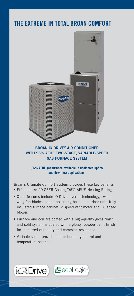### **THE EXTREME IN TOTAL BROAN COMFORT**



**BROAN iQ DRIVE® AIR CONDITIONER WITH 96% AFUE TWO-STAGE, VARIABLE-SPEED GAS FURNACE SYSTEM**

#### **(96% AFUE gas furnace available in dedicated upflow and downflow applications)**

Broan's Ultimate Comfort System provides these key benefits:

- Efficiencies: 20 SEER Cooling/96% AFUE Heating Ratings.
- Quiet features include iQ Drive inverter technology, sweptwing fan blades, sound-absorbing base on outdoor unit, fully insulated furnace cabinet, 2 speed vent motor and 16 speed blower.
- Furnace and coil are coated with a high-quality gloss finish and split system is coated with a glossy, powder-paint finish for increased durability and corrosion resistance.
- Variable-speed provides better humidity control and temperature balance.

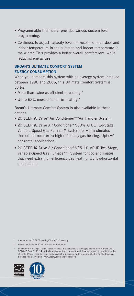- Programmable thermostat provides various custom level programming.
- Continues to adjust capacity levels in response to outdoor and indoor temperature in the summer, and indoor temperature in the winter. This provides a better overall comfort level while reducing energy use.

#### **BROAN'S ULTIMATE COMFORT SYSTEM ENERGY CONSUMPTION**

When you compare this system with an average system installed between 1990 and 2005, this Ultimate Comfort System is up to:

- More than twice as efficient in cooling.\*
- Up to 62% more efficient in heating.\*

Broan's Ultimate Comfort System is also available in these options:

- 20 SEER iQ Drive® Air Conditioner\*\*/Air Handler System.
- 20 SEER iQ Drive Air Conditioner\*\*/80% AFUE Two-Stage, Variable-Speed Gas Furnace  $\dagger$  System for warm climates that do not need extra high-efficiency gas heating. Upflow/ horizontal applications.
- 20 SEER iQ Drive Air Conditioner\*\*/95.1% AFUE Two-Stage, Variable-Speed Gas Furnace\*\*<sup>†</sup> System for cooler climates that need extra high-efficiency gas heating. Upflow/horizontal applications.

Compared to 10 SEER cooling/60% AFUE heating

Meets the ENERGY STAR Certified requirements

t If installed in SCAQMD only: These furnaces and gas/electric packaged system do not meet the SCAQMD Rule 1111 14 ng/J NOx emission limit (14 ng/J), and thus are subject to a mitigation fee of up to \$450. These furnaces and gas/electric packaged system are not eligible for the Clean Air Furnace Rebate Program: www.CleanAirFurnaceRebate.com.

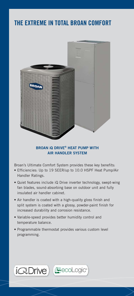### **THE EXTREME IN TOTAL BROAN COMFORT**



#### **BROAN iQ DRIVE® HEAT PUMP WITH AIR HANDLER SYSTEM**

Broan's Ultimate Comfort System provides these key benefits:

- Efficiencies: Up to 19 SEER/up to 10.0 HSPF Heat Pump/Air Handler Ratings.
- Quiet features include iQ Drive inverter technology, swept-wing fan blades, sound-absorbing base on outdoor unit and fully insulated air handler cabinet.
- Air handler is coated with a high-quality gloss finish and split system is coated with a glossy, powder-paint finish for increased durability and corrosion resistance.
- Variable-speed provides better humidity control and temperature balance.

iQDrive LecoLogic

• Programmable thermostat provides various custom level programming.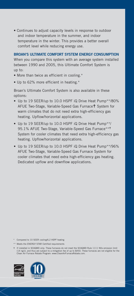• Continues to adjust capacity levels in response to outdoor and indoor temperature in the summer, and indoor temperature in the winter. This provides a better overall comfort level while reducing energy use.

**BROAN'S ULTIMATE COMFORT SYSTEM ENERGY CONSUMPTION**  When you compare this system with an average system installed between 1990 and 2005, this Ultimate Comfort System is up to:

- More than twice as efficient in cooling.\*
- Up to 62% more efficient in heating.\*

Broan's Ultimate Comfort System is also available in these options:

- Up to 19 SEER/up to 10.0 HSPF iQ Drive Heat Pump\*\*/80% AFUE Two-Stage, Variable-Speed Gas Furnacet System for warm climates that do not need extra high-efficiency gas heating. Upflow/horizontal applications.
- Up to 19 SEER/up to 10.0 HSPF iQ Drive Heat Pump\*\*/ 95.1% AFUE Two-Stage, Variable-Speed Gas Furnace\*\*<sup>†</sup> System for cooler climates that need extra high-efficiency gas heating. Upflow/horizontal applications.
- Up to 19 SEER/up to 10.0 HSPF iQ Drive Heat Pump\*\*/96% AFUE Two-Stage, Variable-Speed Gas Furnace System for cooler climates that need extra high-efficiency gas heating. Dedicated upflow and downflow applications.

\* Compared to 10 SEER cooling/6.2 HSPF heating

t If installed in SCAQMD only: These furnaces do not meet the SCAQMD Rule 1111 NOx emission limit (14 ng/J), and thus are subject to a mitigation fee of up to \$450. These furnaces are not eligible for the Clean Air Furnace Rebate Program: www.CleanAirFurnaceRebate.com.



<sup>\*\*</sup> Meets the ENERGY STAR Certified requirements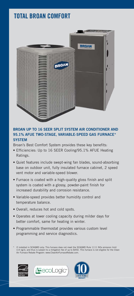### **TOTAL BROAN COMFORT**



#### **BROAN UP TO 16 SEER SPLIT SYSTEM AIR CONDITIONER AND 95.1% AFUE TWO-STAGE, VARIABLE-SPEED GAS FURNACE\* SYSTEM**

Broan's Best Comfort System provides these key benefits:

- Efficiencies: Up to 16 SEER Cooling/95.1% AFUE Heating Ratings.
- Quiet features include swept-wing fan blades, sound-absorbing base on outdoor unit, fully insulated furnace cabinet, 2 speed vent motor and variable-speed blower.
- Furnace is coated with a high-quality gloss finish and split system is coated with a glossy, powder-paint finish for increased durability and corrosion resistance.
- Variable-speed provides better humidity control and temperature balance.
- Overall, reduces hot and cold spots.
- Operates at lower cooling capacity during milder days for better comfort, same for heating in winter.
- Programmable thermostat provides various custom level programming and service diagnostics.

f installed in SCAQMD only: This furnace does not meet the SCAQMD Rule 1111 NOx emission limit<br>(14 ng/J), and thus is subject to a mitigation fee of up to \$450. This furnace is not eligible for the Clean<br>Air Furnace Rebate





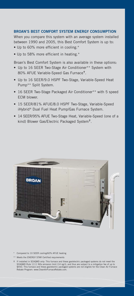#### **BROAN'S BEST COMFORT SYSTEM ENERGY CONSUMPTION**

When you compare this system with an average system installed between 1990 and 2005, this Best Comfort System is up to: • Up to 60% more efficient in cooling.\*

• Up to 58% more efficient in heating.\*

Broan's Best Comfort System is also available in these options:

- Up to 16 SEER Two-Stage Air Conditioner\*\* System with 80% AFUE Variable-Speed Gas Furnace<sup>+</sup>.
- Up to 16 SEER/9.0 HSPF Two-Stage, Variable-Speed Heat Pump\*\* Split System.
- 16 SEER Two-Stage Packaged Air Conditioner\*\* with 5 speed ECM blower.
- 15 SEER/81% AFUE/8.0 HSPF Two-Stage, Variable-Speed iHybrid‰ Dual Fuel Heat Pump/Gas Furnace System.
- 14 SEER/95% AFUE Two-Stage Heat, Variable-Speed (one of a kind) Blower Gas/Electric Packaged System<sup>+</sup>.



- \* Compared to 10 SEER cooling/60% AFUE heating
- \*\* Meets the ENERGY STAR Certified requirements
- t If installed in SCAQMD only: This furnace and these gas/electric packaged systems do not meet the SCAQMD Rule 1111 NOx emission limit (14 ng/J), and thus are subject to a mitigation fee of up to \$450. This furnace and these gas/electric packaged systems are not eligible for the Clean Air Furnace Rebate Program: www.CleanAirFurnaceRebate.com.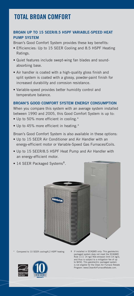### **TOTAL BROAN COMFORT**

#### **BROAN UP TO 15 SEER/8.5 HSPF VARIABLE-SPEED HEAT PUMP SYSTEM**

Broan's Good Comfort System provides these key benefits:

- Efficiencies: Up to 15 SEER Cooling and 8.5 HSPF Heating Ratings.
- Quiet features include swept-wing fan blades and soundabsorbing base.
- Air handler is coated with a high-quality gloss finish and split system is coated with a glossy, powder-paint finish for increased durability and corrosion resistance.
- Variable-speed provides better humidity control and temperature balance.

#### **BROAN'S GOOD COMFORT SYSTEM ENERGY CONSUMPTION**

When you compare this system with an average system installed between 1990 and 2005, this Good Comfort System is up to: • Up to 50% more efficient in cooling.\*

• Up to 45% more efficient in heating.\*

Broan's Good Comfort System is also available in these options:

- Up to 15 SEER Air Conditioner and Air Handler with an energy-efficient motor or Variable-Speed Gas Furnaces/Coils.
- Up to 15 SEER/8.5 HSPF Heat Pump and Air Handler with an energy-efficient motor.
- 14 SEER Packaged Systems<sup>†</sup>.



Compared to 10 SEER cooling/6.2 HSPF heating <br>  $+$  If installed in SCAQMD only: This gas/electric



 packaged system does not meet the SCAQMD Rule 1111 14 ng/J NOx emission limit (14 ng/J), and thus is subject to a mitigation fee of up to \$450. This gas/electric packaged system is not eligible for the Clean Air Furnace Rebate Program: www.CleanAirFurnaceRebate.com.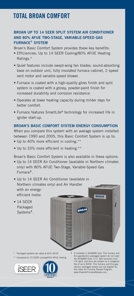### **TOTAL BROAN COMFORT**

#### **BROAN UP TO 14 SEER SPLIT SYSTEM AIR CONDITIONER AND 80% AFUE TWO-STAGE, VARIABLE-SPEED GAS FURNACE**g **SYSTEM**

Broan's Basic Comfort System provides these key benefits:

- Efficiencies: Up to 14 SEER Cooling/80% AFUE Heating Ratings.\*
- Quiet features include swept-wing fan blades, sound-absorbing base on outdoor unit, fully insulated furnace cabinet, 2 speed vent motor and variable-speed blower.
- Furnace is coated with a high-quality gloss finish and split system is coated with a glossy, powder-paint finish for increased durability and corrosion resistance.
- Operates at lower heating capacity during milder days for better comfort.
- Furnace features SmartLite® technology for increased life in igniter start-up.

#### **BROAN'S BASIC COMFORT SYSTEM ENERGY CONSUMPTION**

When you compare this system with an average system installed between 1990 and 2005, this Basic Comfort System is up to: • Up to 40% more efficient in cooling.\*\*

• Up to 33% more efficient in heating.\*\*

Broan's Basic Comfort System is also available in these options:

• Up to 14 SEER Air Conditioner (available in Northern climates only) with 80% AFUE Two-Stage, Variable-Speed Gas  $Furnace<sup>†</sup>$ .



\* Packaged systems are rated at 81% AFUE

\*\* Compared to 10 SEER cooling/60% AFUE heating



• 14 SEER Packaged Systems<sup>†</sup>.



t If installed in SCAQMD only: This furnace and this gas/electric packaged system do not meet the SCAQMD Rule 1111 NOx emission limit (14 ng/J), and thus are subject to a mitigation fee of up to \$450. This furnace and this gas/ electric packaged system are not eligible for the Clean Air Furnace Rebate Program: www.CleanAirFurnaceRebate.com.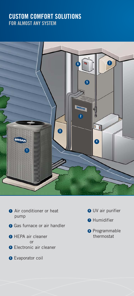## **CUSTOM COMFORT SOLUTIONS**

**FOR ALMOST ANY SYSTEM** 



- Air conditioner or heat pump
- Gas furnace or air handler
- HEPA air cleaner or Electronic air cleaner
- Evaporator coil
- UV air purifier
- Humidifier
- Programmable thermostat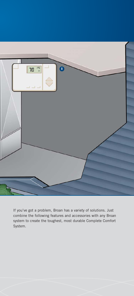

If you've got a problem, Broan has a variety of solutions. Just combine the following features and accessories with any Broan system to create the toughest, most durable Complete Comfort System.